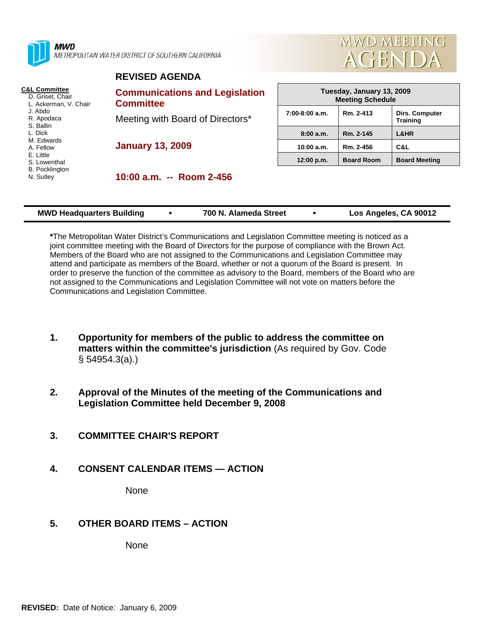

**MWD** METROPOLITAN WATER DISTRICT OF SOUTHERN CALIFORNIA

**REVISED AGENDA** 



| <b>C&amp;L Committee</b><br>D. Griset. Chair<br>L. Ackerman, V. Chair<br>J. Abdo<br>R. Apodaca<br>S. Ballin<br>L. Dick<br>M. Edwards<br>A. Fellow<br>E. Little<br>S. Lowenthal<br><b>B.</b> Pocklington<br>N. Sutley | <b>Communications and Legislation</b><br><b>Committee</b>   | Tuesday, January 13, 2009<br><b>Meeting Schedule</b> |                   |                                   |  |
|----------------------------------------------------------------------------------------------------------------------------------------------------------------------------------------------------------------------|-------------------------------------------------------------|------------------------------------------------------|-------------------|-----------------------------------|--|
|                                                                                                                                                                                                                      | Meeting with Board of Directors*<br><b>January 13, 2009</b> | $7:00-8:00$ a.m.                                     | Rm. 2-413         | Dirs. Computer<br><b>Training</b> |  |
|                                                                                                                                                                                                                      |                                                             | 8:00a.m.                                             | Rm. 2-145         | L&HR                              |  |
|                                                                                                                                                                                                                      |                                                             | 10:00 a.m.                                           | Rm. 2-456         | C&L                               |  |
|                                                                                                                                                                                                                      |                                                             | 12:00 p.m.                                           | <b>Board Room</b> | <b>Board Meeting</b>              |  |
|                                                                                                                                                                                                                      | 10:00 a.m. -- Room 2-456                                    |                                                      |                   |                                   |  |

| <b>MWD Headquarters Building</b> |  | 700 N. Alameda Street |  | Los Angeles, CA 90012 |
|----------------------------------|--|-----------------------|--|-----------------------|
|----------------------------------|--|-----------------------|--|-----------------------|

**\***The Metropolitan Water District's Communications and Legislation Committee meeting is noticed as a joint committee meeting with the Board of Directors for the purpose of compliance with the Brown Act. Members of the Board who are not assigned to the Communications and Legislation Committee may attend and participate as members of the Board, whether or not a quorum of the Board is present. In order to preserve the function of the committee as advisory to the Board, members of the Board who are not assigned to the Communications and Legislation Committee will not vote on matters before the Communications and Legislation Committee.

- **1. Opportunity for members of the public to address the committee on matters within the committee's jurisdiction** (As required by Gov. Code § 54954.3(a).)
- **2. Approval of the Minutes of the meeting of the Communications and Legislation Committee held December 9, 2008**
- **3. COMMITTEE CHAIR'S REPORT**
- **4. CONSENT CALENDAR ITEMS ACTION**

None

# **5. OTHER BOARD ITEMS – ACTION**

None